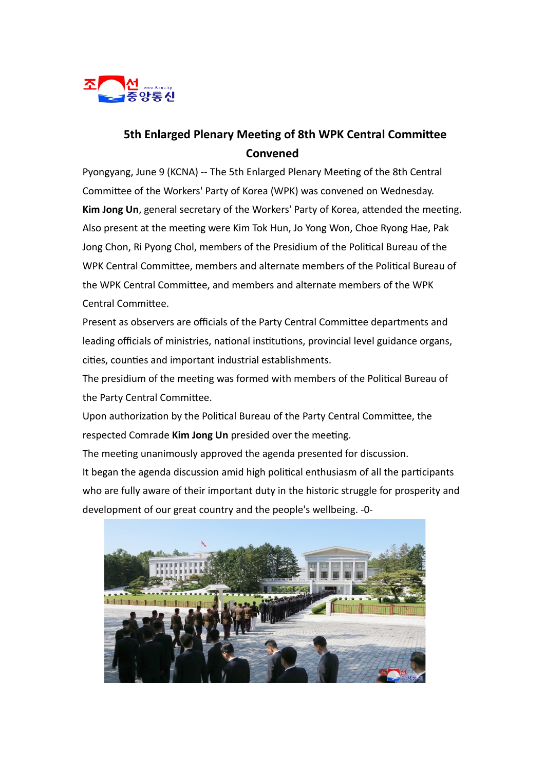

## **5th Enlarged Plenary Meeting of 8th WPK Central Committee Convened**

Pyongyang, June 9 (KCNA) -- The 5th Enlarged Plenary Meeting of the 8th Central Committee of the Workers' Party of Korea (WPK) was convened on Wednesday. **Kim Jong Un**, general secretary of the Workers' Party of Korea, attended the meeting. Also present at the meeting were Kim Tok Hun, Jo Yong Won, Choe Ryong Hae, Pak Jong Chon, Ri Pyong Chol, members of the Presidium of the Political Bureau of the WPK Central Committee, members and alternate members of the Political Bureau of the WPK Central Committee, and members and alternate members of the WPK Central Committee.

Present as observers are officials of the Party Central Committee departments and leading officials of ministries, national institutions, provincial level guidance organs, cities, counties and important industrial establishments.

The presidium of the meeting was formed with members of the Political Bureau of the Party Central Committee.

Upon authorization by the Political Bureau of the Party Central Committee, the respected Comrade **Kim Jong Un** presided over the meeting.

The meeting unanimously approved the agenda presented for discussion. It began the agenda discussion amid high political enthusiasm of all the participants who are fully aware of their important duty in the historic struggle for prosperity and development of our great country and the people's wellbeing. -0-